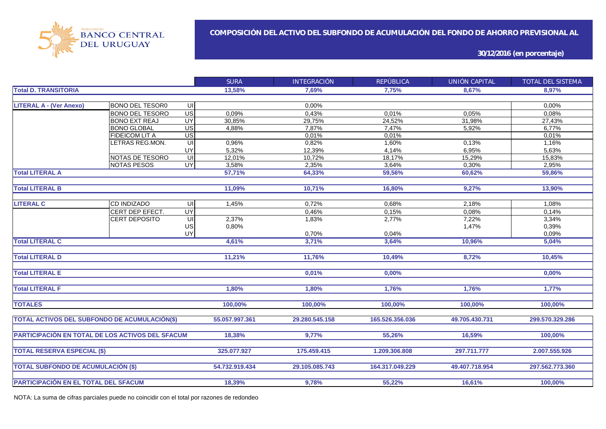

**30/12/2016 (en porcentaje)**

|                                                  |                        |                         | <b>SURA</b>    | <b>INTEGRACIÓN</b> | <b>REPÚBLICA</b> | UNIÓN CAPITAL  | <b>TOTAL DEL SISTEMA</b> |
|--------------------------------------------------|------------------------|-------------------------|----------------|--------------------|------------------|----------------|--------------------------|
| <b>Total D. TRANSITORIA</b>                      |                        |                         | 13,58%         | 7,69%              | 7,75%            | 8,67%          | 8.97%                    |
|                                                  |                        |                         |                |                    |                  |                |                          |
| <b>LITERAL A - (Ver Anexo)</b>                   | <b>BONO DEL TESOR0</b> | UI                      |                | 0,00%              |                  |                | 0,00%                    |
|                                                  | <b>BONO DEL TESORO</b> | US                      | 0,09%          | 0,43%              | 0,01%            | 0,05%          | 0,08%                    |
|                                                  | <b>BONO EXT REAJ</b>   | UY                      | 30,85%         | 29,75%             | 24,52%           | 31,98%         | 27,43%                   |
|                                                  | <b>BONO GLOBAL</b>     | $\overline{US}$         | 4,88%          | 7,87%              | 7,47%            | 5,92%          | 6,77%                    |
|                                                  | FIDEICOM LIT A         | US                      |                | 0,01%              | 0,01%            |                | 0,01%                    |
|                                                  | LETRAS REG.MON.        | $\subseteq$             | 0,96%          | 0,82%              | 1,60%            | 0,13%          | 1,16%                    |
|                                                  |                        | UY                      | 5,32%          | 12,39%             | 4,14%            | 6,95%          | 5,63%                    |
|                                                  | NOTAS DE TESORO        | $\subseteq$             | 12,01%         | 10,72%             | 18,17%           | 15,29%         | 15,83%                   |
|                                                  | <b>NOTAS PESOS</b>     | $\overline{\mathsf{C}}$ | 3,58%          | 2,35%              | 3,64%            | 0,30%          | 2,95%                    |
| <b>Total LITERAL A</b>                           |                        |                         | 57,71%         | 64,33%             | 59,56%           | 60,62%         | 59,86%                   |
|                                                  |                        |                         |                |                    |                  |                |                          |
| <b>Total LITERAL B</b>                           |                        |                         | 11,09%         | 10,71%             | 16,80%           | 9,27%          | 13,90%                   |
| <b>LITERAL C</b>                                 | CD INDIZADO            | UI                      | 1.45%          | 0,72%              | 0,68%            | 2,18%          | 1,08%                    |
|                                                  | CERT DEP EFECT.        | UY                      |                | 0,46%              | 0,15%            | 0.08%          | 0.14%                    |
|                                                  | <b>CERT DEPOSITO</b>   | UI                      | 2,37%          | 1,83%              | 2,77%            | 7,22%          | 3,34%                    |
|                                                  |                        | US                      | 0,80%          |                    |                  | 1,47%          | 0,39%                    |
|                                                  |                        | UY                      |                | 0,70%              | 0,04%            |                | 0,09%                    |
| <b>Total LITERAL C</b>                           |                        |                         | 4,61%          | 3,71%              | 3,64%            | 10,96%         | 5,04%                    |
|                                                  |                        |                         |                |                    |                  |                |                          |
| <b>Total LITERAL D</b>                           |                        |                         | 11,21%         | 11,76%             | 10,49%           | 8,72%          | 10,45%                   |
|                                                  |                        |                         |                |                    |                  |                |                          |
| <b>Total LITERAL E</b>                           |                        |                         |                | 0,01%              | 0,00%            |                | 0,00%                    |
| <b>Total LITERAL F</b>                           |                        |                         | 1.80%          | 1,80%              | 1,76%            | 1,76%          | 1,77%                    |
|                                                  |                        |                         |                |                    |                  |                |                          |
| <b>TOTALES</b>                                   |                        |                         | 100,00%        | 100,00%            | 100,00%          | 100,00%        | 100,00%                  |
|                                                  |                        |                         |                |                    |                  |                |                          |
| TOTAL ACTIVOS DEL SUBFONDO DE ACUMULACIÓN(\$)    |                        |                         | 55.057.997.361 | 29.280.545.158     | 165.526.356.036  | 49.705.430.731 | 299.570.329.286          |
| PARTICIPACIÓN EN TOTAL DE LOS ACTIVOS DEL SFACUM |                        |                         |                |                    |                  |                |                          |
|                                                  |                        |                         | 18,38%         | 9,77%              | 55,26%           | 16,59%         | 100,00%                  |
| <b>TOTAL RESERVA ESPECIAL (\$)</b>               |                        |                         | 325.077.927    | 175.459.415        | 1.209.306.808    | 297.711.777    | 2.007.555.926            |
|                                                  |                        |                         |                |                    |                  |                |                          |
| <b>TOTAL SUBFONDO DE ACUMULACIÓN (\$)</b>        |                        |                         | 54.732.919.434 | 29.105.085.743     | 164.317.049.229  | 49.407.718.954 | 297.562.773.360          |
|                                                  |                        |                         |                |                    |                  |                |                          |
| PARTICIPACIÓN EN EL TOTAL DEL SFACUM             |                        |                         | 18,39%         | 9,78%              | 55,22%           | 16,61%         | 100,00%                  |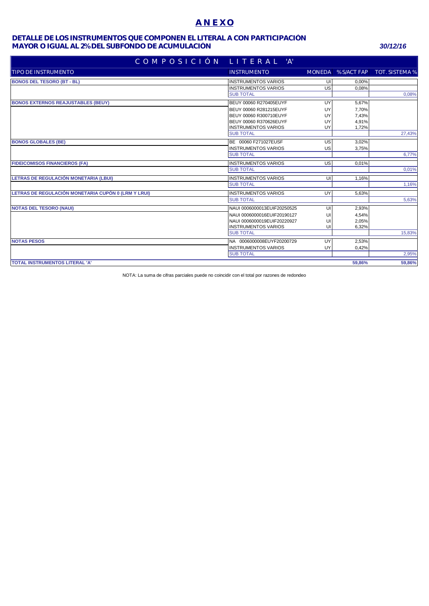# **A N E X O**

### **MAYOR O IGUAL AL 2% DEL SUBFONDO DE ACUMULACIÓN** *30/12/16* **DETALLE DE LOS INSTRUMENTOS QUE COMPONEN EL LITERAL A CON PARTICIPACIÓN**

| COMPOSICIÓN LITERAL                                 | "A"                         |    |        |                                   |
|-----------------------------------------------------|-----------------------------|----|--------|-----------------------------------|
| <b>TIPO DE INSTRUMENTO</b>                          | <b>INSTRUMENTO</b>          |    |        | MONEDA % S/ACT FAP TOT. SISTEMA % |
| <b>BONOS DEL TESORO (BT - BL)</b>                   | <b>INSTRUMENTOS VARIOS</b>  | UI | 0,00%  |                                   |
|                                                     | <b>INSTRUMENTOS VARIOS</b>  | US | 0.08%  |                                   |
|                                                     | <b>SUB TOTAL</b>            |    |        | 0,08%                             |
| <b>BONOS EXTERNOS REAJUSTABLES (BEUY)</b>           | BEUY 00060 R270405EUYF      | UY | 5,67%  |                                   |
|                                                     | BEUY 00060 R281215EUYF      | UY | 7,70%  |                                   |
|                                                     | BEUY 00060 R300710EUYF      | UY | 7,43%  |                                   |
|                                                     | BEUY 00060 R370626EUYF      | UY | 4.91%  |                                   |
|                                                     | <b>INSTRUMENTOS VARIOS</b>  | UY | 1,72%  |                                   |
|                                                     | <b>SUB TOTAL</b>            |    |        | 27,43%                            |
| <b>BONOS GLOBALES (BE)</b>                          | BE 00060 F271027EUSF        | US | 3,02%  |                                   |
|                                                     | <b>INSTRUMENTOS VARIOS</b>  | US | 3,75%  |                                   |
|                                                     | <b>SUB TOTAL</b>            |    |        | 6,77%                             |
| <b>FIDEICOMISOS FINANCIEROS (FA)</b>                | <b>INSTRUMENTOS VARIOS</b>  | US | 0,01%  |                                   |
|                                                     | <b>SUB TOTAL</b>            |    |        | 0,01%                             |
| LETRAS DE REGULACIÓN MONETARIA (LBUI)               | <b>INSTRUMENTOS VARIOS</b>  | UI | 1,16%  |                                   |
|                                                     | <b>SUB TOTAL</b>            |    |        | 1,16%                             |
| LETRAS DE REGULACIÓN MONETARIA CUPÓN 0 (LRM Y LRUI) | <b>INSTRUMENTOS VARIOS</b>  | UY | 5,63%  |                                   |
|                                                     | <b>SUB TOTAL</b>            |    |        | 5,63%                             |
| <b>NOTAS DEL TESORO (NAUI)</b>                      | NAUI 0006000013EUIF20250525 | UI | 2,93%  |                                   |
|                                                     | NAUI 0006000016EUIF20190127 | UI | 4,54%  |                                   |
|                                                     | NAUI 0006000019EUIF20220927 | UI | 2,05%  |                                   |
|                                                     | <b>INSTRUMENTOS VARIOS</b>  | UI | 6,32%  |                                   |
|                                                     | <b>SUB TOTAL</b>            |    |        | 15,83%                            |
| <b>NOTAS PESOS</b>                                  | NA 0006000008EUYF20200729   | UY | 2,53%  |                                   |
|                                                     | <b>INSTRUMENTOS VARIOS</b>  | UY | 0,42%  |                                   |
|                                                     | <b>SUB TOTAL</b>            |    |        | 2,95%                             |
| <b>TOTAL INSTRUMENTOS LITERAL 'A'</b>               |                             |    | 59.86% | 59.86%                            |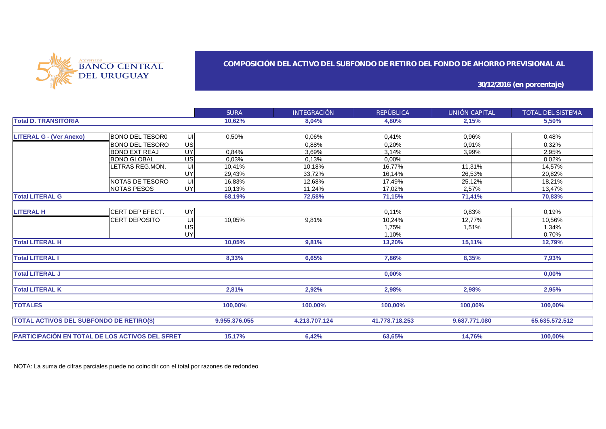

### **COMPOSICIÓN DEL ACTIVO DEL SUBFONDO DE RETIRO DEL FONDO DE AHORRO PREVISIONAL AL**

**30/12/2016 (en porcentaje)**

|                                                        |                        |                 | <b>SURA</b>   | <b>INTEGRACIÓN</b> | REPÚBLICA     | UNIÓN CAPITAL  | TOTAL DEL SISTEMA |
|--------------------------------------------------------|------------------------|-----------------|---------------|--------------------|---------------|----------------|-------------------|
| <b>Total D. TRANSITORIA</b>                            |                        |                 | 10,62%        | 8,04%              | 4,80%         | 2,15%          | 5,50%             |
|                                                        |                        |                 |               |                    |               |                |                   |
| <b>LITERAL G - (Ver Anexo)</b>                         | <b>BONO DEL TESOR0</b> | UI              | 0,50%         | 0,06%              | 0,41%         | 0,96%          | 0,48%             |
|                                                        | <b>BONO DEL TESORO</b> | US              |               | 0.88%              | 0,20%         | 0.91%          | 0,32%             |
|                                                        | <b>BONO EXT REAJ</b>   | UY              | 0,84%         | 3,69%              | 3,14%         | 3,99%          | 2,95%             |
|                                                        | <b>BONO GLOBAL</b>     | $\overline{US}$ | 0,03%         | 0,13%              | 0,00%         |                | 0,02%             |
|                                                        | LETRAS REG.MON.        | UI              | 10,41%        | 10,18%             | 16,77%        | 11,31%         | 14,57%            |
|                                                        |                        | UY              | 29,43%        | 33,72%             | 16,14%        | 26,53%         | 20,82%            |
|                                                        | NOTAS DE TESORO        | UI              | 16,83%        | 12,68%             | 17,49%        | 25,12%         | 18,21%            |
|                                                        | <b>INOTAS PESOS</b>    | UY              | 10,13%        | 11,24%             | 17,02%        | 2,57%          | 13,47%            |
| <b>Total LITERAL G</b>                                 |                        |                 | 68,19%        | 72,58%             | 71,15%        | 71,41%         | 70,83%            |
|                                                        |                        |                 |               |                    |               |                |                   |
| <b>LITERAL H</b>                                       | <b>CERT DEP EFECT.</b> | <b>UY</b>       |               |                    | 0,11%         | 0,83%          | 0,19%             |
|                                                        | <b>CERT DEPOSITO</b>   | UI              | 10,05%        | 9,81%              | 10,24%        | 12,77%         | 10,56%            |
|                                                        |                        | US              |               |                    | 1,75%         | 1,51%          | 1,34%             |
|                                                        |                        | UY              |               |                    | 1.10%         |                | 0,70%             |
| <b>Total LITERAL H</b>                                 |                        |                 | 10,05%        | 9,81%              | 13,20%        | 15,11%         | 12,79%            |
|                                                        |                        |                 |               |                    |               |                |                   |
| <b>Total LITERAL I</b>                                 |                        |                 | 8,33%         | 6,65%              | 7,86%         | 8,35%          | 7,93%             |
| <b>Total LITERAL J</b>                                 |                        |                 |               |                    |               |                |                   |
|                                                        |                        |                 |               |                    | 0,00%         |                | 0,00%             |
| <b>Total LITERAL K</b>                                 |                        |                 | 2,81%         | 2,92%              | 2,98%         | 2,98%          | 2,95%             |
|                                                        |                        |                 |               |                    |               |                |                   |
| <b>TOTALES</b>                                         |                        |                 | 100,00%       | 100,00%            | 100,00%       | 100.00%        | 100,00%           |
|                                                        |                        |                 |               |                    |               |                |                   |
| <b>TOTAL ACTIVOS DEL SUBFONDO DE RETIRO(\$)</b>        |                        | 9.955.376.055   | 4.213.707.124 | 41.778.718.253     | 9.687.771.080 | 65.635.572.512 |                   |
|                                                        |                        |                 |               |                    |               |                |                   |
| <b>PARTICIPACIÓN EN TOTAL DE LOS ACTIVOS DEL SFRET</b> |                        |                 | 15,17%        | 6,42%              | 63,65%        | 14,76%         | 100,00%           |